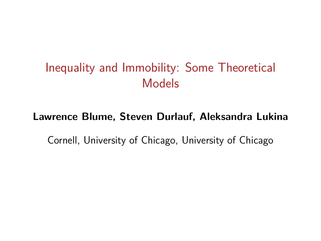# Inequality and Immobility: Some Theoretical Models

#### **Lawrence Blume, Steven Durlauf, Aleksandra Lukina**

Cornell, University of Chicago, University of Chicago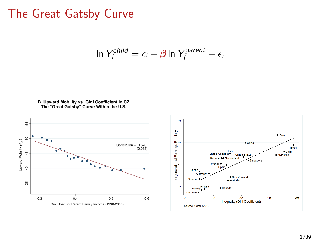#### The Great Gatsby Curve

$$
\ln Y_i^{\text{child}} = \alpha + \beta \ln Y_i^{\text{parent}} + \epsilon_i
$$





· Peru

· Argentina

50

Brazil

60

· Chile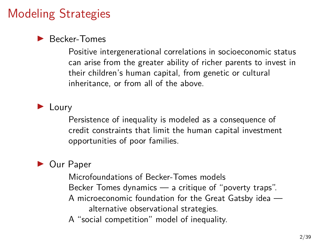# Modeling Strategies

#### Becker-Tomes

Positive intergenerational correlations in socioeconomic status can arise from the greater ability of richer parents to invest in their children's human capital, from genetic or cultural inheritance, or from all of the above.

 $\blacktriangleright$  Loury

Persistence of inequality is modeled as a consequence of credit constraints that limit the human capital investment opportunities of poor families.

#### ▶ Our Paper

Microfoundations of Becker-Tomes models Becker Tomes dynamics — a critique of "poverty traps". A microeconomic foundation for the Great Gatsby idea alternative observational strategies.

A "social competition" model of inequality.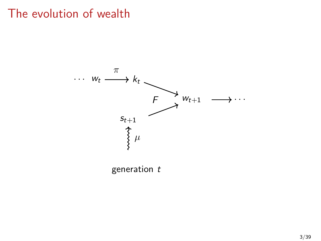# The evolution of wealth



generation  $t$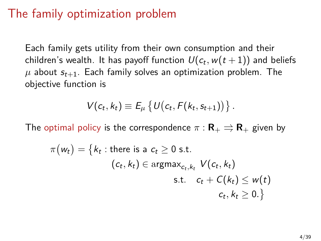## The family optimization problem

Each family gets utility from their own consumption and their children's wealth. It has payoff function  $\mathit{U}(c_t, w(t+1))$  and beliefs  $\mu$  about  $s_{t+1}$ . Each family solves an optimization problem. The objective function is

$$
V(c_t, k_t) \equiv E_\mu \left\{ U(c_t, F(k_t, s_{t+1})) \right\}.
$$

The optimal policy is the correspondence  $\pi : \mathbf{R}_+ \implies \mathbf{R}_+$  given by

$$
\pi(w_t) = \{k_t : \text{there is a } c_t \geq 0 \text{ s.t.}
$$
  
\n
$$
(c_t, k_t) \in \text{argmax}_{c_t, k_t} V(c_t, k_t)
$$
  
\n
$$
\text{s.t.} \quad c_t + C(k_t) \leq w(t)
$$
  
\n
$$
c_t, k_t \geq 0.\}
$$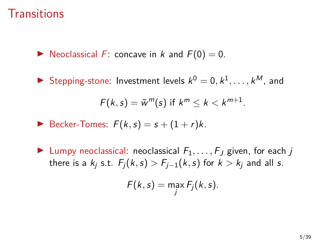#### **Transitions**

 $\triangleright$  Neoclassical F: concave in k and  $F(0) = 0$ .

Stepping-stone: Investment levels  $k^0 = 0, k^1, \ldots, k^M$ , and

$$
F(k,s)=\tilde{w}^m(s) \text{ if } k^m\leq k
$$

- Becker-Tomes:  $F(k, s) = s + (1 + r)k$ .
- In Lumpy neoclassical: neoclassical  $F_1, \ldots, F_J$  given, for each j there is a  $k_i$  s.t.  $F_i(k, s) > F_{i-1}(k, s)$  for  $k > k_i$  and all s.

$$
F(k, s) = \max_j F_j(k, s).
$$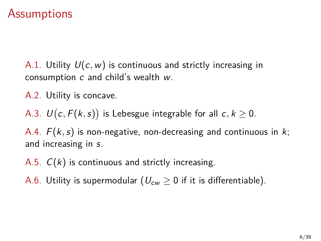#### **Assumptions**

A.1. Utility  $U(c, w)$  is continuous and strictly increasing in consumption  $c$  and child's wealth  $w$ .

A.2. Utility is concave.

A.3.  $U(c,F(k,s))$  is Lebesgue integrable for all  $c,k\geq 0.$ 

A.4.  $F(k, s)$  is non-negative, non-decreasing and continuous in k; and increasing in s.

- A.5.  $C(k)$  is continuous and strictly increasing.
- A.6. Utility is supermodular ( $U_{cw} \geq 0$  if it is differentiable).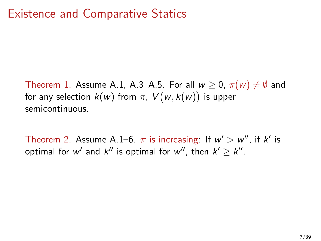Theorem 1. Assume A.1, A.3–A.5. For all  $w \ge 0$ ,  $\pi(w) \ne \emptyset$  and for any selection  $k(w)$  from  $\pi,~V(w,k(w))$  is upper semicontinuous.

[Theorem 2.](#page-39-0) Assume A.1–6.  $\pi$  is increasing: If  $w' > w''$ , if k' is optimal for  $w'$  and  $k''$  is optimal for  $w'',$  then  $k' \geq k''.$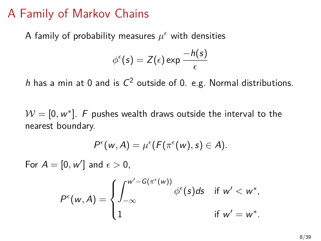#### A Family of Markov Chains

A family of probability measures  $\mu^\epsilon$  with densities

$$
\phi^{\epsilon}(s) = Z(\epsilon) \exp \frac{-h(s)}{\epsilon}
$$

h has a min at 0 and is  $C^2$  outside of 0. e.g. Normal distributions.

 $\mathcal{W} = [0, w^*].$  F pushes wealth draws outside the interval to the nearest boundary.

$$
P^{\epsilon}(w, A) = \mu^{\epsilon}(F(\pi^{\epsilon}(w), s) \in A).
$$

For  $A = [0, w']$  and  $\epsilon > 0$ ,

$$
P^{\epsilon}(w, A) = \begin{cases} \int_{-\infty}^{w'-G(\pi^{\epsilon}(w))} \phi^{\epsilon}(s) ds & \text{if } w' < w^*, \\ 1 & \text{if } w' = w^*. \end{cases}
$$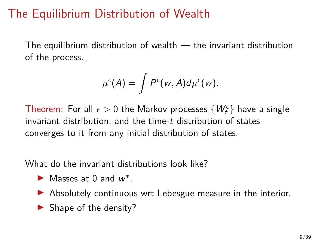# The Equilibrium Distribution of Wealth

The equilibrium distribution of wealth — the invariant distribution of the process.

$$
\mu^{\epsilon}(A) = \int P^{\epsilon}(w, A) d\mu^{\epsilon}(w).
$$

Theorem: For all  $\epsilon > 0$  the Markov processes  $\{W_t^\epsilon\}$  have a single invariant distribution, and the time-t distribution of states converges to it from any initial distribution of states.

What do the invariant distributions look like?

- Masses at 0 and  $w^*$ .
- $\triangleright$  Absolutely continuous wrt Lebesgue measure in the interior.
- $\blacktriangleright$  Shape of the density?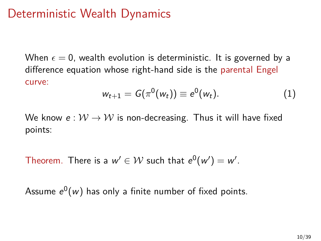## Deterministic Wealth Dynamics

When  $\epsilon = 0$ , wealth evolution is deterministic. It is governed by a difference equation whose right-hand side is the parental Engel curve:

$$
w_{t+1} = G(\pi^{0}(w_{t})) \equiv e^{0}(w_{t}). \qquad (1)
$$

We know  $e: W \to W$  is non-decreasing. Thus it will have fixed points:

Theorem. There is a  $w' \in \mathcal{W}$  such that  $e^0(w') = w'.$ 

Assume  $e^0(w)$  has only a finite number of fixed points.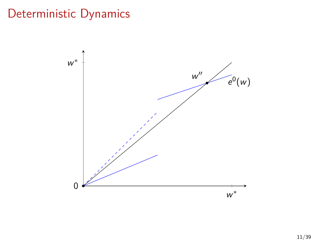# Deterministic Dynamics

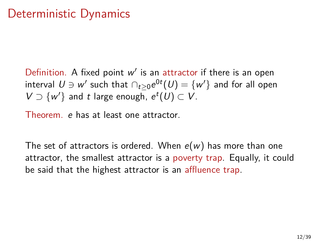#### Deterministic Dynamics

Definition. A fixed point  $w'$  is an attractor if there is an open interval  $U \ni w'$  such that  $\cap_{t \geq 0} e^{0t}(U) = \{w'\}$  and for all open  $V \supset \{w'\}$  and t large enough,  $e^t(U) \subset V$ .

Theorem. e has at least one attractor.

The set of attractors is ordered. When  $e(w)$  has more than one attractor, the smallest attractor is a poverty trap. Equally, it could be said that the highest attractor is an affluence trap.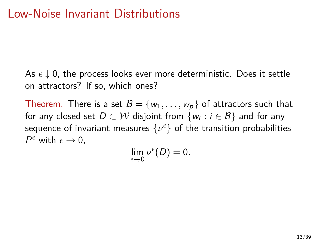As  $\epsilon \downarrow 0$ , the process looks ever more deterministic. Does it settle on attractors? If so, which ones?

Theorem. There is a set  $\mathcal{B} = \{w_1, \ldots, w_p\}$  of attractors such that for any closed set  $D\subset\mathcal{W}$  disjoint from  $\{w_i:i\in\mathcal{B}\}$  and for any sequence of invariant measures  $\{\nu^\epsilon\}$  of the transition probabilities  $P^{\epsilon}$  with  $\epsilon \rightarrow 0$ ,

$$
\lim_{\epsilon\to 0}\nu^\epsilon(D)=0.
$$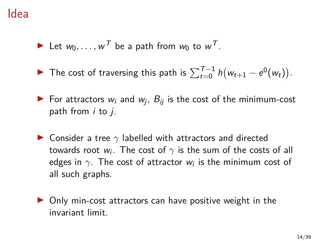- In Let  $w_0, \ldots, w^T$  be a path from  $w_0$  to  $w^T$ .
- ▶ The cost of traversing this path is  $\sum_{t=0}^{T-1} h(w_{t+1} e^0(w_t)).$
- $\blacktriangleright$  For attractors  $w_i$  and  $w_j$ ,  $B_{ij}$  is the cost of the minimum-cost path from  $i$  to  $j$ .
- **In Consider a tree**  $\gamma$  labelled with attractors and directed towards root  $w_i.$  The cost of  $\gamma$  is the sum of the costs of all edges in  $\gamma.$  The cost of attractor  $w_i$  is the minimum cost of all such graphs.
- $\triangleright$  Only min-cost attractors can have positive weight in the invariant limit.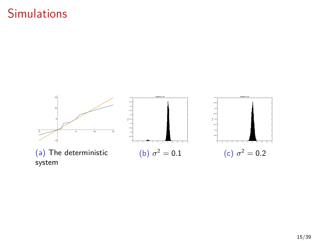# **Simulations**

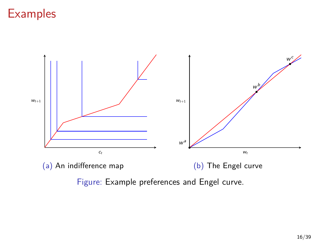

Figure: Example preferences and Engel curve.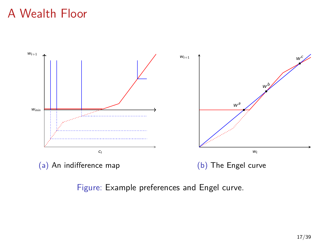# A Wealth Floor



#### Figure: Example preferences and Engel curve.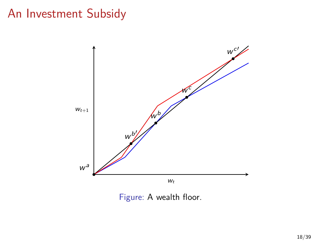# An Investment Subsidy



Figure: A wealth floor.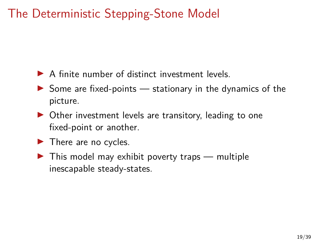# The Deterministic Stepping-Stone Model

- $\triangleright$  A finite number of distinct investment levels.
- $\triangleright$  Some are fixed-points  $-$  stationary in the dynamics of the picture.
- $\triangleright$  Other investment levels are transitory, leading to one fixed-point or another.
- $\blacktriangleright$  There are no cycles.
- $\blacktriangleright$  This model may exhibit poverty traps multiple inescapable steady-states.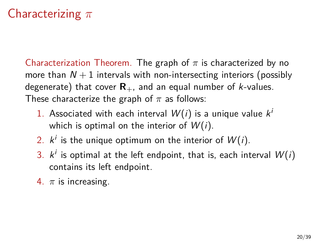# Characterizing  $\pi$

[Characterization Theorem.](#page-39-0) The graph of  $\pi$  is characterized by no more than  $N + 1$  intervals with non-intersecting interiors (possibly degenerate) that cover  $\mathbf{R}_{+}$ , and an equal number of *k*-values. These characterize the graph of  $\pi$  as follows:

- 1. Associated with each interval  $W(i)$  is a unique value  $k^{i}$ which is optimal on the interior of  $W(i)$ .
- 2.  $k^i$  is the unique optimum on the interior of  $W(i)$ .
- 3.  $k^i$  is optimal at the left endpoint, that is, each interval  $W(i)$ contains its left endpoint.
- 4.  $\pi$  is increasing.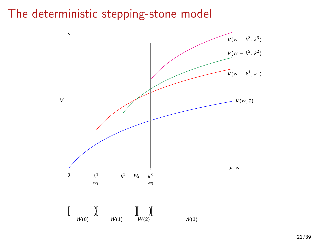#### The deterministic stepping-stone model

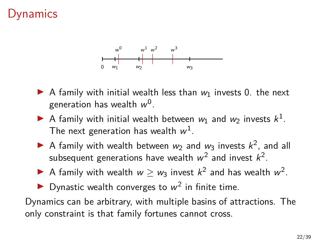## namics



- A family with initial wealth less than  $w_1$  invests 0. the next generation has wealth  $w^0$ .
- A family with initial wealth between  $w_1$  and  $w_2$  invests  $k^1$ . The next generation has wealth  $w^1$ .
- A family with wealth between  $w_2$  and  $w_3$  invests  $k^2$ , and all subsequent generations have wealth  $w^2$  and invest  $k^2$ .
- A family with wealth  $w \geq w_3$  invest  $k^2$  and has wealth  $w^2$ .
- Dynastic wealth converges to  $w^2$  in finite time.

Dynamics can be arbitrary, with multiple basins of attractions. The only constraint is that family fortunes cannot cross.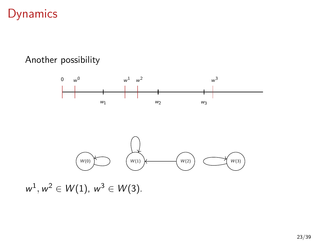## Dynamics

#### Another possibility



 $w^1, w^2 \in W(1), w^3 \in W(3).$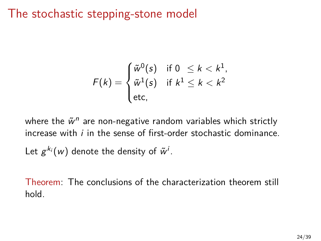### The stochastic stepping-stone model

$$
F(k) = \begin{cases} \tilde{w}^0(s) & \text{if } 0 \leq k < k^1, \\ \tilde{w}^1(s) & \text{if } k^1 \leq k < k^2 \\ \text{etc.} \end{cases}
$$

where the  $\tilde{w}^n$  are non-negative random variables which strictly increase with  $i$  in the sense of first-order stochastic dominance. Let  $g^{k_i}(w)$  denote the density of  $\tilde{w}^i$ .

Theorem: The conclusions of the characterization theorem still hold.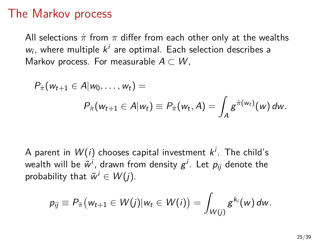#### The Markov process

All selections  $\pi$  from  $\pi$  differ from each other only at the wealths  $w_i$ , where multiple  $k^i$  are optimal. Each selection describes a Markov process. For measurable  $A \subset W$ ,

$$
P_{\pi}(w_{t+1} \in A|w_0,\ldots,w_t) =
$$
  

$$
P_{\pi}(w_{t+1} \in A|w_t) \equiv P_{\pi}(w_t,A) = \int_A g^{\pi(w_t)}(w) dw.
$$

A parent in  $W(i)$  chooses capital investment  $k^i.$  The child's wealth will be  $\tilde{w}^i$ , drawn from density  $g^i$ . Let  $p_{ij}$  denote the probability that  $\tilde{w}^i \in W(j)$ .

$$
p_{ij} \equiv P_{\dot{\pi}}(w_{t+1} \in W(j)|w_t \in W(i)) = \int_{W(j)} g^{k_i}(w) dw.
$$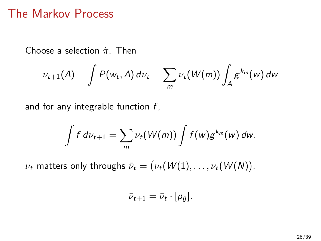#### The Markov Process

Choose a selection  $\pi$ . Then

$$
\nu_{t+1}(A) = \int P(w_t, A) d\nu_t = \sum_m \nu_t(W(m)) \int_A g^{k_m}(w) dw
$$

and for any integrable function  $f$ ,

$$
\int f d\nu_{t+1} = \sum_m \nu_t(W(m)) \int f(w) g^{k_m}(w) dw.
$$

 $\nu_t$  matters only throughs  $\bar\nu_t = \big(\nu_t(W(1), \dots, \nu_t(W(N))\big).$ 

$$
\bar{\nu}_{t+1}=\bar{\nu}_t\cdot[p_{ij}].
$$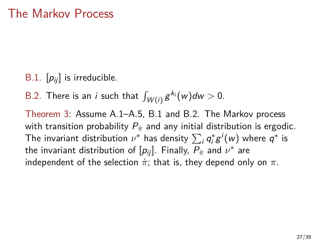- B.1.  $[p_{ij}]$  is irreducible.
- B.2. There is an *i* such that  $\int_{W(i)} g^{k_i}(w) dw > 0$ .

Theorem 3: Assume A.1–A.5, B.1 and B.2. The Markov process with transition probability  $P_{\pi}$  and any initial distribution is ergodic. The invariant distribution  $\nu^*$  has density  $\sum_i \mathcal{q}_i^*g^i(w)$  where  $\mathcal{q}^*$  is the invariant distribution of  $[p_{ij}]$ . Finally,  $P_{\dot{\pi}}$  and  $\nu^*$  are independent of the selection  $\pi$ ; that is, they depend only on  $\pi$ .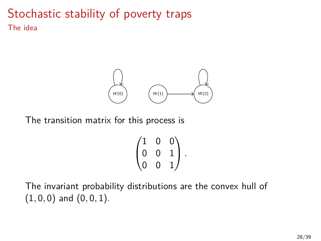#### Stochastic stability of poverty traps The idea



The transition matrix for this process is

$$
\begin{pmatrix} 1 & 0 & 0 \\ 0 & 0 & 1 \\ 0 & 0 & 1 \end{pmatrix}.
$$

The invariant probability distributions are the convex hull of  $(1, 0, 0)$  and  $(0, 0, 1)$ .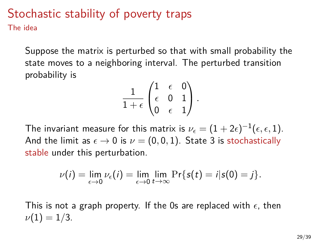#### Stochastic stability of poverty traps The idea

Suppose the matrix is perturbed so that with small probability the state moves to a neighboring interval. The perturbed transition probability is

$$
\frac{1}{1+\epsilon}\begin{pmatrix} 1 & \epsilon & 0 \\ \epsilon & 0 & 1 \\ 0 & \epsilon & 1 \end{pmatrix}.
$$

The invariant measure for this matrix is  $\nu_\epsilon = (1+2\epsilon)^{-1} (\epsilon,\epsilon,1).$ And the limit as  $\epsilon \to 0$  is  $\nu = (0, 0, 1)$ . State 3 is stochastically stable under this perturbation.

$$
\nu(i) = \lim_{\epsilon \to 0} \nu_{\epsilon}(i) = \lim_{\epsilon \to 0} \lim_{t \to \infty} \Pr\{s(t) = i | s(0) = j\}.
$$

This is not a graph property. If the 0s are replaced with  $\epsilon$ , then  $\nu(1) = 1/3$ .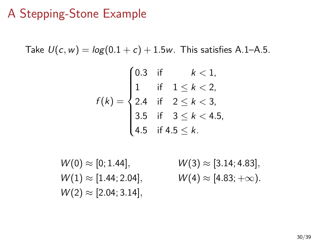#### A Stepping-Stone Example

Take  $U(c, w) = log(0.1 + c) + 1.5w$ . This satisfies A.1–A.5.

$$
f(k) = \begin{cases} 0.3 & \text{if } k < 1, \\ 1 & \text{if } 1 \le k < 2, \\ 2.4 & \text{if } 2 \le k < 3, \\ 3.5 & \text{if } 3 \le k < 4.5, \\ 4.5 & \text{if } 4.5 \le k. \end{cases}
$$

 $W(0) \approx [0; 1.44], \qquad W(3) \approx [3.14; 4.83],$  $W(1) \approx [1.44; 2.04], \qquad W(4) \approx [4.83; +\infty).$  $W(2) \approx [2.04; 3.14]$ ,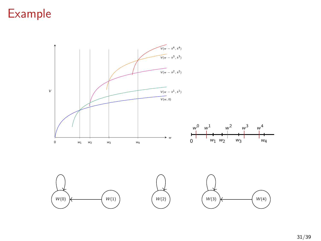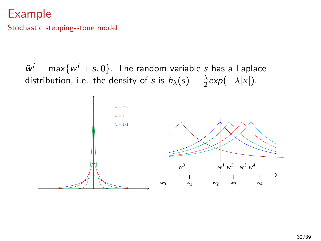Stochastic stepping-stone model

 $\tilde{w}^i = \max\{w^i + s, 0\}$ . The random variable  $s$  has a Laplace distribution, i.e. the density of s is  $h_{\lambda}(s) = \frac{\lambda}{2} exp(-\lambda |x|)$ .

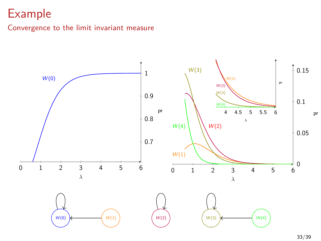#### Convergence to the limit invariant measure

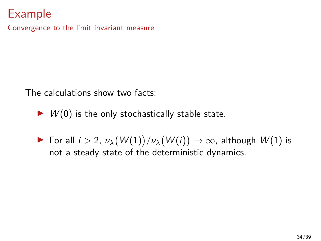Convergence to the limit invariant measure

The calculations show two facts:

- $\triangleright$   $W(0)$  is the only stochastically stable state.
- ► For all  $i > 2$ ,  $\nu_{\lambda}(W(1))/\nu_{\lambda}(W(i)) \rightarrow \infty$ , although  $W(1)$  is not a steady state of the deterministic dynamics.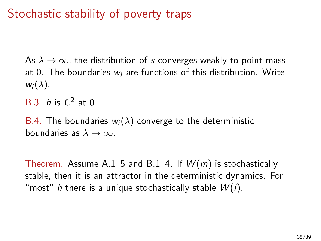# Stochastic stability of poverty traps

As  $\lambda \to \infty$ , the distribution of s converges weakly to point mass at 0. The boundaries  $w_i$  are functions of this distribution. Write  $w_i(\lambda)$ .

B.3.  $h$  is  $C^2$  at 0.

B.4. The boundaries  $w_i(\lambda)$  converge to the deterministic boundaries as  $\lambda \to \infty$ .

Theorem. Assume A.1–5 and B.1–4. If  $W(m)$  is stochastically stable, then it is an attractor in the deterministic dynamics. For "most" h there is a unique stochastically stable  $W(i)$ .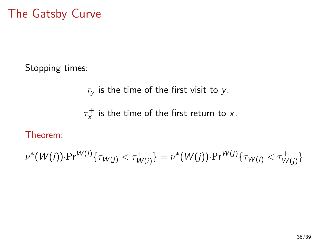# The Gatsby Curve

Stopping times:

$$
\tau_y
$$
 is the time of the first visit to  $y$ .

 $\tau_{\mathsf{x}}^+$  is the time of the first return to x.

#### Theorem:

$$
\nu^*(W(i))\cdot \Pr^{W(i)}\{\tau_{W(j)} < \tau^+_{W(i)}\} = \nu^*(W(j))\cdot \Pr^{W(j)}\{\tau_{W(i)} < \tau^+_{W(j)}\}
$$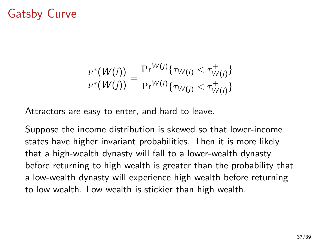# Gatsby Curve

$$
\frac{\nu^*(W(i))}{\nu^*(W(j))} = \frac{\Pr^{W(j)}\{\tau_{W(i)} < \tau^+_{W(j)}\}}{\Pr^{W(i)}\{\tau_{W(j)} < \tau^+_{W(i)}\}}
$$

Attractors are easy to enter, and hard to leave.

Suppose the income distribution is skewed so that lower-income states have higher invariant probabilities. Then it is more likely that a high-wealth dynasty will fall to a lower-wealth dynasty before returning to high wealth is greater than the probability that a low-wealth dynasty will experience high wealth before returning to low wealth. Low wealth is stickier than high wealth.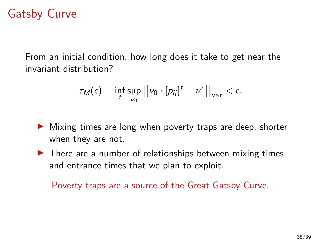# Gatsby Curve

From an initial condition, how long does it take to get near the invariant distribution?

$$
\tau_M(\epsilon) = \inf_t \sup_{\nu_0} ||\nu_0 \cdot [\rho_{ij}]^t - \nu^*||_{var} < \epsilon.
$$

- $\triangleright$  Mixing times are long when poverty traps are deep, shorter when they are not.
- $\blacktriangleright$  There are a number of relationships between mixing times and entrance times that we plan to exploit.

Poverty traps are a source of the Great Gatsby Curve.